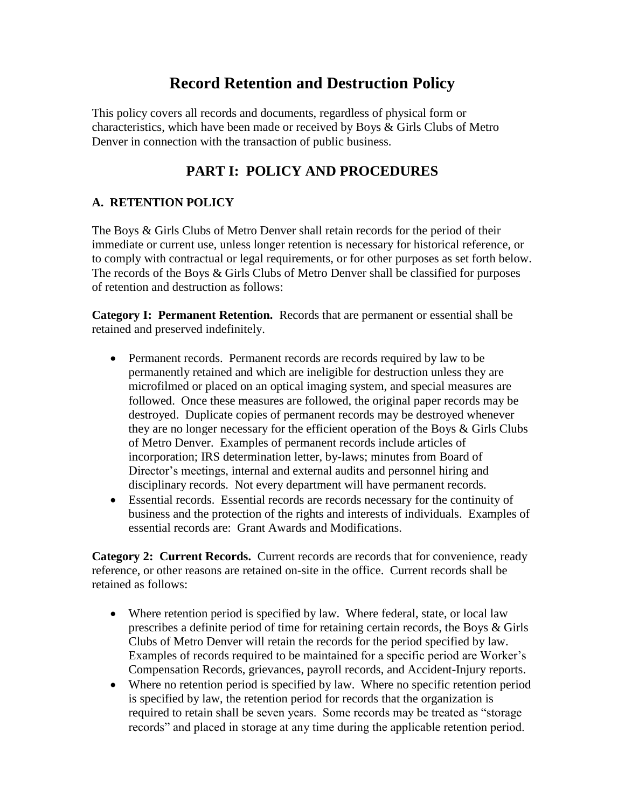# **Record Retention and Destruction Policy**

This policy covers all records and documents, regardless of physical form or characteristics, which have been made or received by Boys & Girls Clubs of Metro Denver in connection with the transaction of public business.

## **PART I: POLICY AND PROCEDURES**

### **A. RETENTION POLICY**

The Boys & Girls Clubs of Metro Denver shall retain records for the period of their immediate or current use, unless longer retention is necessary for historical reference, or to comply with contractual or legal requirements, or for other purposes as set forth below. The records of the Boys & Girls Clubs of Metro Denver shall be classified for purposes of retention and destruction as follows:

**Category I: Permanent Retention.** Records that are permanent or essential shall be retained and preserved indefinitely.

- Permanent records. Permanent records are records required by law to be permanently retained and which are ineligible for destruction unless they are microfilmed or placed on an optical imaging system, and special measures are followed. Once these measures are followed, the original paper records may be destroyed. Duplicate copies of permanent records may be destroyed whenever they are no longer necessary for the efficient operation of the Boys & Girls Clubs of Metro Denver. Examples of permanent records include articles of incorporation; IRS determination letter, by-laws; minutes from Board of Director's meetings, internal and external audits and personnel hiring and disciplinary records. Not every department will have permanent records.
- Essential records. Essential records are records necessary for the continuity of business and the protection of the rights and interests of individuals. Examples of essential records are: Grant Awards and Modifications.

**Category 2: Current Records.** Current records are records that for convenience, ready reference, or other reasons are retained on-site in the office. Current records shall be retained as follows:

- Where retention period is specified by law. Where federal, state, or local law prescribes a definite period of time for retaining certain records, the Boys & Girls Clubs of Metro Denver will retain the records for the period specified by law. Examples of records required to be maintained for a specific period are Worker's Compensation Records, grievances, payroll records, and Accident-Injury reports.
- Where no retention period is specified by law. Where no specific retention period is specified by law, the retention period for records that the organization is required to retain shall be seven years. Some records may be treated as "storage records" and placed in storage at any time during the applicable retention period.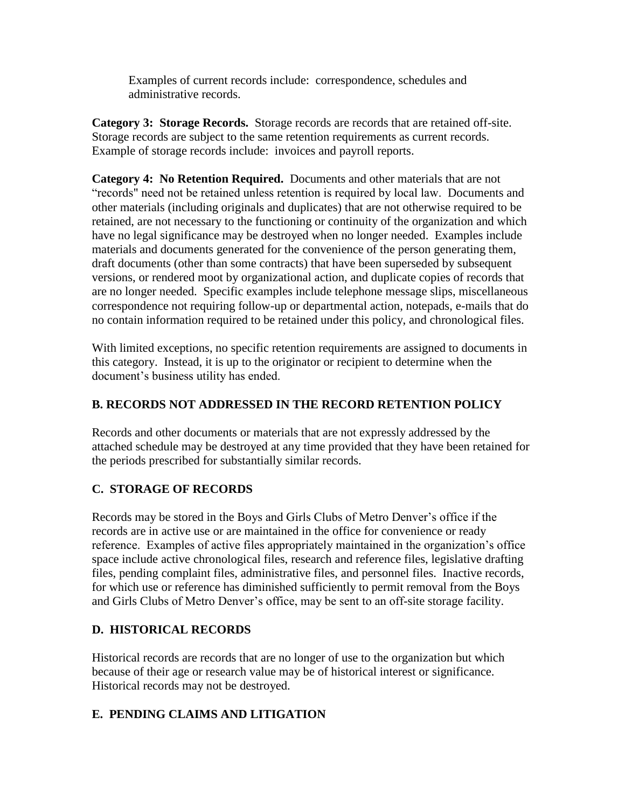Examples of current records include: correspondence, schedules and administrative records.

**Category 3: Storage Records.** Storage records are records that are retained off-site. Storage records are subject to the same retention requirements as current records. Example of storage records include: invoices and payroll reports.

**Category 4: No Retention Required.** Documents and other materials that are not "records" need not be retained unless retention is required by local law. Documents and other materials (including originals and duplicates) that are not otherwise required to be retained, are not necessary to the functioning or continuity of the organization and which have no legal significance may be destroyed when no longer needed. Examples include materials and documents generated for the convenience of the person generating them, draft documents (other than some contracts) that have been superseded by subsequent versions, or rendered moot by organizational action, and duplicate copies of records that are no longer needed. Specific examples include telephone message slips, miscellaneous correspondence not requiring follow-up or departmental action, notepads, e-mails that do no contain information required to be retained under this policy, and chronological files.

With limited exceptions, no specific retention requirements are assigned to documents in this category. Instead, it is up to the originator or recipient to determine when the document's business utility has ended.

### **B. RECORDS NOT ADDRESSED IN THE RECORD RETENTION POLICY**

Records and other documents or materials that are not expressly addressed by the attached schedule may be destroyed at any time provided that they have been retained for the periods prescribed for substantially similar records.

### **C. STORAGE OF RECORDS**

Records may be stored in the Boys and Girls Clubs of Metro Denver's office if the records are in active use or are maintained in the office for convenience or ready reference. Examples of active files appropriately maintained in the organization's office space include active chronological files, research and reference files, legislative drafting files, pending complaint files, administrative files, and personnel files. Inactive records, for which use or reference has diminished sufficiently to permit removal from the Boys and Girls Clubs of Metro Denver's office, may be sent to an off-site storage facility.

### **D. HISTORICAL RECORDS**

Historical records are records that are no longer of use to the organization but which because of their age or research value may be of historical interest or significance. Historical records may not be destroyed.

### **E. PENDING CLAIMS AND LITIGATION**